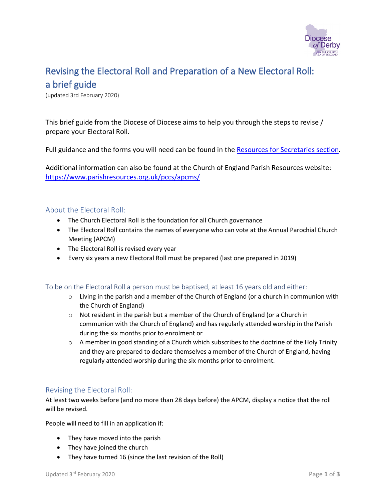

# Revising the Electoral Roll and Preparation of a New Electoral Roll: a brief guide

(updated 3rd February 2020)

This brief guide from the Diocese of Diocese aims to help you through the steps to revise / prepare your Electoral Roll.

Full guidance and the forms you will need can be found in the [Resources for Secretaries section.](https://derby.anglican.org/en/en/church-admin/resources-for-secretaries.html)

Additional information can also be found at the Church of England Parish Resources website: <https://www.parishresources.org.uk/pccs/apcms/>

#### About the Electoral Roll:

- The Church Electoral Roll is the foundation for all Church governance
- The Electoral Roll contains the names of everyone who can vote at the Annual Parochial Church Meeting (APCM)
- The Electoral Roll is revised every year
- Every six years a new Electoral Roll must be prepared (last one prepared in 2019)

#### To be on the Electoral Roll a person must be baptised, at least 16 years old and either:

- $\circ$  Living in the parish and a member of the Church of England (or a church in communion with the Church of England)
- $\circ$  Not resident in the parish but a member of the Church of England (or a Church in communion with the Church of England) and has regularly attended worship in the Parish during the six months prior to enrolment or
- $\circ$  A member in good standing of a Church which subscribes to the doctrine of the Holy Trinity and they are prepared to declare themselves a member of the Church of England, having regularly attended worship during the six months prior to enrolment.

#### Revising the Electoral Roll:

At least two weeks before (and no more than 28 days before) the APCM, display a notice that the roll will be revised.

People will need to fill in an application if:

- They have moved into the parish
- They have joined the church
- They have turned 16 (since the last revision of the Roll)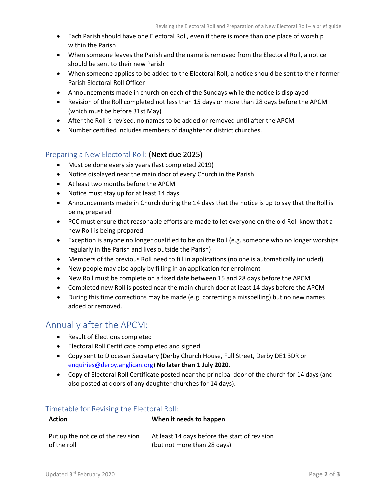- Each Parish should have one Electoral Roll, even if there is more than one place of worship within the Parish
- When someone leaves the Parish and the name is removed from the Electoral Roll, a notice should be sent to their new Parish
- When someone applies to be added to the Electoral Roll, a notice should be sent to their former Parish Electoral Roll Officer
- Announcements made in church on each of the Sundays while the notice is displayed
- Revision of the Roll completed not less than 15 days or more than 28 days before the APCM (which must be before 31st May)
- After the Roll is revised, no names to be added or removed until after the APCM
- Number certified includes members of daughter or district churches.

#### Preparing a New Electoral Roll: (Next due 2025)

- Must be done every six years (last completed 2019)
- Notice displayed near the main door of every Church in the Parish
- At least two months before the APCM
- Notice must stay up for at least 14 days
- Announcements made in Church during the 14 days that the notice is up to say that the Roll is being prepared
- PCC must ensure that reasonable efforts are made to let everyone on the old Roll know that a new Roll is being prepared
- Exception is anyone no longer qualified to be on the Roll (e.g. someone who no longer worships regularly in the Parish and lives outside the Parish)
- Members of the previous Roll need to fill in applications (no one is automatically included)
- New people may also apply by filling in an application for enrolment
- New Roll must be complete on a fixed date between 15 and 28 days before the APCM
- Completed new Roll is posted near the main church door at least 14 days before the APCM
- During this time corrections may be made (e.g. correcting a misspelling) but no new names added or removed.

### Annually after the APCM:

- Result of Elections completed
- Electoral Roll Certificate completed and signed
- Copy sent to Diocesan Secretary (Derby Church House, Full Street, Derby DE1 3DR or [enquiries@derby.anglican.org\)](mailto:enquiries@derby.anglican.org) **No later than 1 July 2020**.
- Copy of Electoral Roll Certificate posted near the principal door of the church for 14 days (and also posted at doors of any daughter churches for 14 days).

#### Timetable for Revising the Electoral Roll:

| <b>Action</b>                     | When it needs to happen                       |
|-----------------------------------|-----------------------------------------------|
| Put up the notice of the revision | At least 14 days before the start of revision |
| of the roll                       | (but not more than 28 days)                   |